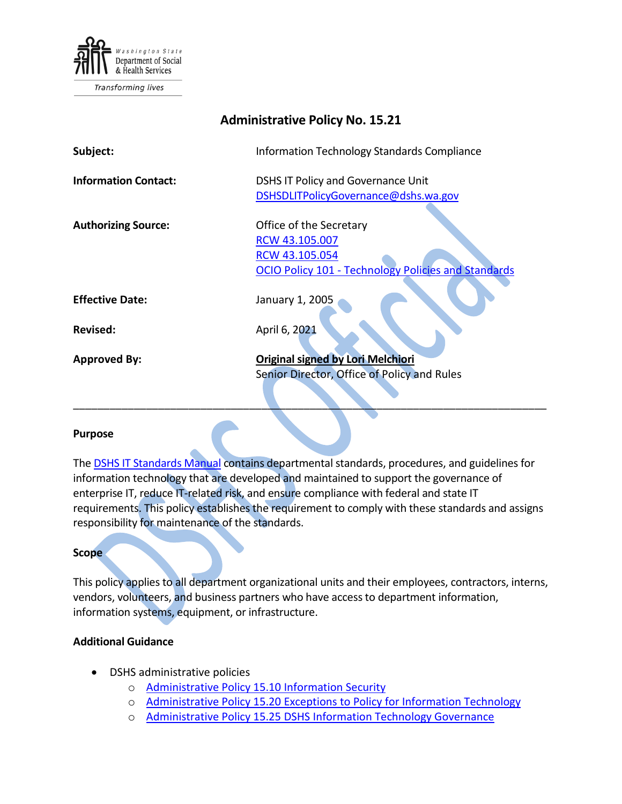

| <b>Administrative Policy No. 15.21</b> |                                                                                                                           |
|----------------------------------------|---------------------------------------------------------------------------------------------------------------------------|
| Subject:                               | Information Technology Standards Compliance                                                                               |
| <b>Information Contact:</b>            | <b>DSHS IT Policy and Governance Unit</b><br>DSHSDLITPolicyGovernance@dshs.wa.gov                                         |
| <b>Authorizing Source:</b>             | Office of the Secretary<br>RCW 43.105.007<br>RCW 43.105.054<br><b>OCIO Policy 101 - Technology Policies and Standards</b> |
| <b>Effective Date:</b>                 | January 1, 2005                                                                                                           |
| <b>Revised:</b>                        | April 6, 2021                                                                                                             |
| <b>Approved By:</b>                    | Original signed by Lori Melchiori<br>Senior Director, Office of Policy and Rules                                          |

#### **Purpose**

The [DSHS IT Standards Manual](http://intra.dshs.wa.lcl/itstandards/categories.stm) contains departmental standards, procedures, and guidelines for information technology that are developed and maintained to support the governance of enterprise IT, reduce IT-related risk, and ensure compliance with federal and state IT requirements. This policy establishes the requirement to comply with these standards and assigns responsibility for maintenance of the standards.

\_\_\_\_\_\_\_\_\_\_\_\_\_\_\_\_\_\_\_\_\_\_\_\_\_\_\_\_\_\_\_\_\_\_\_\_\_\_\_\_\_\_\_\_\_\_\_\_\_\_\_\_\_\_\_\_\_\_\_\_\_\_\_\_\_\_\_\_\_\_\_\_\_\_\_\_\_\_

### **Scope**

This policy applies to all department organizational units and their employees, contractors, interns, vendors, volunteers, and business partners who have access to department information, information systems, equipment, or infrastructure.

## **Additional Guidance**

- DSHS administrative policies
	- o [Administrative Policy 15.10 Information Security](http://one.dshs.wa.lcl/Policies/Administrative/DSHS-AP-15-10.pdf)
	- o [Administrative Policy 15.20 Exceptions to Policy for Information Technology](http://one.dshs.wa.lcl/Policies/Administrative/DSHS-AP-15-20.pdf)
	- o [Administrative Policy 15.25 DSHS Information Technology Governance](http://one.dshs.wa.lcl/Policies/Administrative/DSHS-AP-15-25.pdf)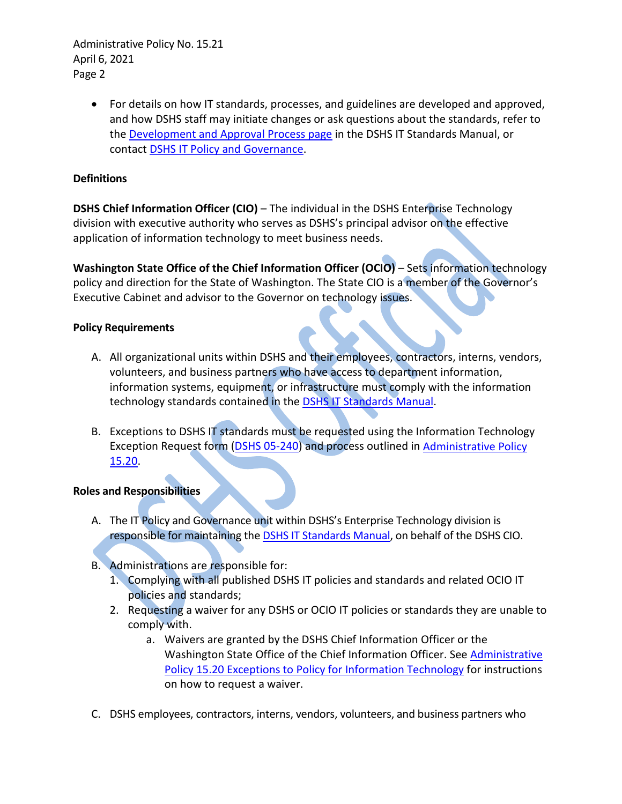Administrative Policy No. 15.21 April 6, 2021 Page 2

> • For details on how IT standards, processes, and guidelines are developed and approved, and how DSHS staff may initiate changes or ask questions about the standards, refer to the [Development and Approval Process page](http://intra.dshs.wa.lcl/itstandards/approval.stm) in the DSHS IT Standards Manual, or contact **DSHS IT Policy and Governance**.

# **Definitions**

**DSHS Chief Information Officer (CIO)** – The individual in the DSHS Enterprise Technology division with executive authority who serves as DSHS's principal advisor on the effective application of information technology to meet business needs.

**Washington State Office of the Chief Information Officer (OCIO)** – Sets information technology policy and direction for the State of Washington. The State CIO is a member of the Governor's Executive Cabinet and advisor to the Governor on technology issues.

## **Policy Requirements**

- A. All organizational units within DSHS and their employees, contractors, interns, vendors, volunteers, and business partners who have access to department information, information systems, equipment, or infrastructure must comply with the information technology standards contained in the **DSHS IT Standards Manual**.
- B. Exceptions to DSHS IT standards must be requested using the Information Technology Exception Request form [\(DSHS 05-240\)](http://forms.dshs.wa.lcl/formDetails.aspx?ID=54623) and process outlined in **Administrative Policy** [15.20.](http://one.dshs.wa.lcl/Policies/Administrative/DSHS-AP-15-20.pdf)

## **Roles and Responsibilities**

- A. The IT Policy and Governance unit within DSHS's Enterprise Technology division is responsible for maintaining the **DSHS IT Standards Manual**, on behalf of the DSHS CIO.
- B. Administrations are responsible for:
	- 1. Complying with all published DSHS IT policies and standards and related OCIO IT policies and standards;
	- 2. Requesting a waiver for any DSHS or OCIO IT policies or standards they are unable to comply with.
		- a. Waivers are granted by the DSHS Chief Information Officer or the Washington State Office of the Chief Information Officer. See [Administrative](http://one.dshs.wa.lcl/Policies/Administrative/DSHS-AP-15-20.pdf)  [Policy 15.20 Exceptions to Policy for Information Technology](http://one.dshs.wa.lcl/Policies/Administrative/DSHS-AP-15-20.pdf) for instructions on how to request a waiver.
- C. DSHS employees, contractors, interns, vendors, volunteers, and business partners who